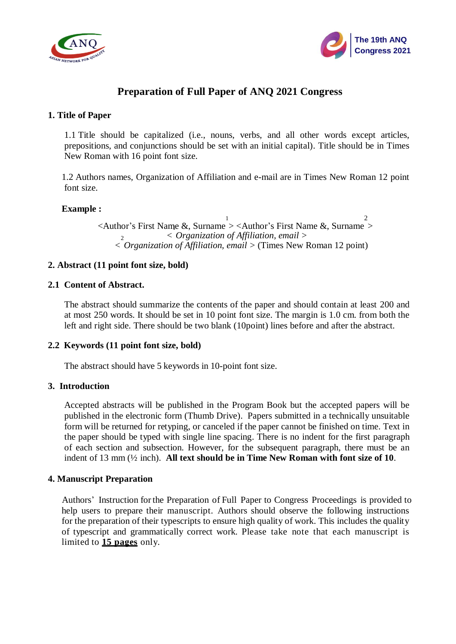



# **Preparation of Full Paper of ANQ 2021 Congress**

# **1. Title of Paper**

1.1 Title should be capitalized (i.e., nouns, verbs, and all other words except articles, prepositions, and conjunctions should be set with an initial capital). Title should be in Times New Roman with 16 point font size.

1.2 Authors names, Organization of Affiliation and e-mail are in Times New Roman 12 point font size.

# **Example :**

<Author's First Name &, Surname 1 > <Author's First Name &, Surname 2 pe &, Surname > <Author's First Name &, Surname > *< Organization of Affiliation, email > < Organization of Affiliation, email >* (Times New Roman 12 point) 2

# **2. Abstract (11 point font size, bold)**

## **2.1 Content of Abstract.**

The abstract should summarize the contents of the paper and should contain at least 200 and at most 250 words. It should be set in 10 point font size. The margin is 1.0 cm. from both the left and right side. There should be two blank (10point) lines before and after the abstract.

## **2.2 Keywords (11 point font size, bold)**

The abstract should have 5 keywords in 10-point font size.

## **3. Introduction**

Accepted abstracts will be published in the Program Book but the accepted papers will be published in the electronic form (Thumb Drive). Papers submitted in a technically unsuitable form will be returned for retyping, or canceled if the paper cannot be finished on time. Text in the paper should be typed with single line spacing. There is no indent for the first paragraph of each section and subsection. However, for the subsequent paragraph, there must be an indent of 13 mm (½ inch). **All text should be in Time New Roman with font size of 10**.

## **4. Manuscript Preparation**

Authors' Instruction forthe Preparation of Full Paper to Congress Proceedings is provided to help users to prepare their manuscript. Authors should observe the following instructions for the preparation of their typescripts to ensure high quality of work. This includes the quality of typescript and grammatically correct work. Please take note that each manuscript is limited to **15 pages** only.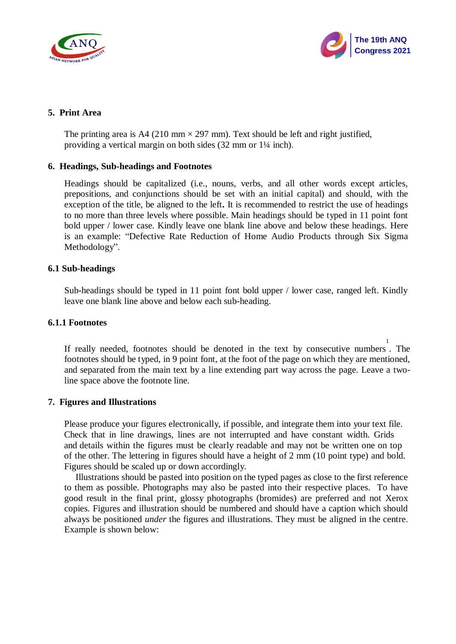



# **5. Print Area**

The printing area is A4 (210 mm  $\times$  297 mm). Text should be left and right justified, providing a vertical margin on both sides (32 mm or 1¼ inch).

## **6. Headings, Sub-headings and Footnotes**

Headings should be capitalized (i.e., nouns, verbs, and all other words except articles, prepositions, and conjunctions should be set with an initial capital) and should, with the exception of the title, be aligned to the left**.** It is recommended to restrict the use of headings to no more than three levels where possible. Main headings should be typed in 11 point font bold upper / lower case. Kindly leave one blank line above and below these headings. Here is an example: "Defective Rate Reduction of Home Audio Products through Six Sigma Methodology".

#### **6.1 Sub-headings**

Sub-headings should be typed in 11 point font bold upper / lower case, ranged left. Kindly leave one blank line above and below each sub-heading.

#### **6.1.1 Footnotes**

If really needed, footnotes should be denoted in the text by consecutive numbers . The 1 footnotes should be typed, in 9 point font, at the foot of the page on which they are mentioned, and separated from the main text by a line extending part way across the page. Leave a twoline space above the footnote line.

#### **7. Figures and Illustrations**

Please produce your figures electronically, if possible, and integrate them into your text file. Check that in line drawings, lines are not interrupted and have constant width. Grids and details within the figures must be clearly readable and may not be written one on top of the other. The lettering in figures should have a height of 2 mm (10 point type) and bold. Figures should be scaled up or down accordingly.

Illustrations should be pasted into position on the typed pages as close to the first reference to them as possible. Photographs may also be pasted into their respective places. To have good result in the final print, glossy photographs (bromides) are preferred and not Xerox copies. Figures and illustration should be numbered and should have a caption which should always be positioned *under* the figures and illustrations. They must be aligned in the centre. Example is shown below: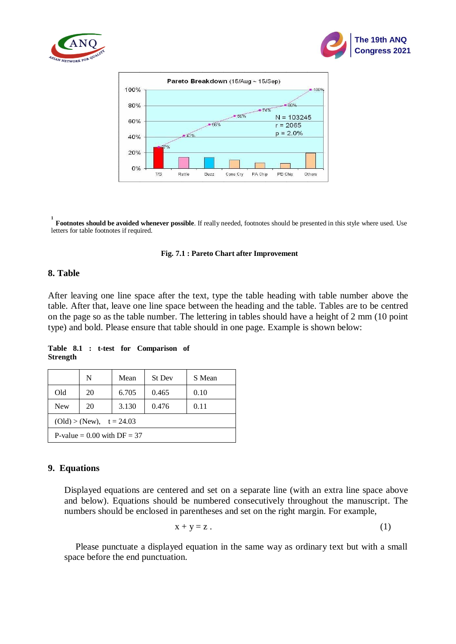





**1 Footnotes should be avoided whenever possible**. If really needed, footnotes should be presented in this style where used. Use letters for table footnotes if required.

#### **Fig. 7.1 : Pareto Chart after Improvement**

#### **8. Table**

After leaving one line space after the text, type the table heading with table number above the table. After that, leave one line space between the heading and the table. Tables are to be centred on the page so as the table number. The lettering in tables should have a height of 2 mm (10 point type) and bold. Please ensure that table should in one page. Example is shown below:

|                               | N  | Mean  | St Dev | S Mean |
|-------------------------------|----|-------|--------|--------|
| Old                           | 20 | 6.705 | 0.465  | 0.10   |
| <b>New</b>                    | 20 | 3.130 | 0.476  | 0.11   |
| $(Old) > (New), t = 24.03$    |    |       |        |        |
| P-value = $0.00$ with DF = 37 |    |       |        |        |

# **Table 8.1 : t-test for Comparison of Strength**

## **9. Equations**

Displayed equations are centered and set on a separate line (with an extra line space above and below). Equations should be numbered consecutively throughout the manuscript. The numbers should be enclosed in parentheses and set on the right margin. For example,

$$
x + y = z. \tag{1}
$$

Please punctuate a displayed equation in the same way as ordinary text but with a small space before the end punctuation.